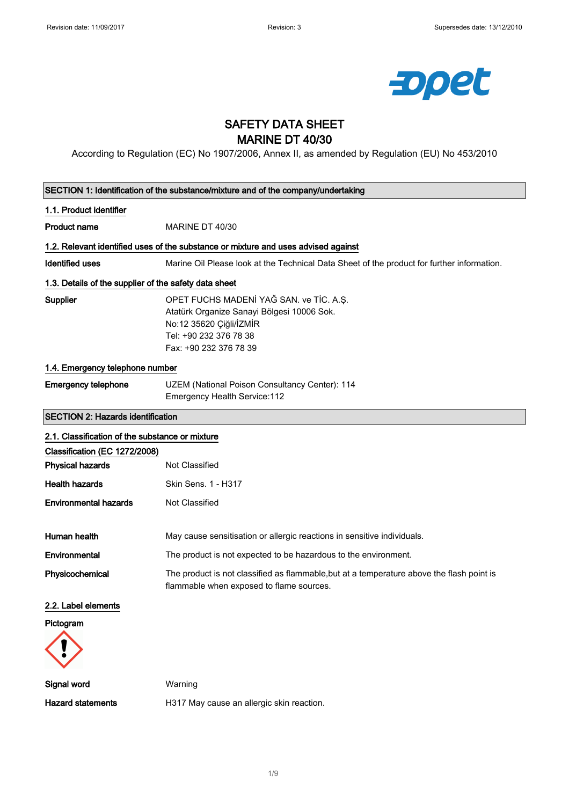

# SAFETY DATA SHEET MARINE DT 40/30

According to Regulation (EC) No 1907/2006, Annex II, as amended by Regulation (EU) No 453/2010

| SECTION 1: Identification of the substance/mixture and of the company/undertaking |                                                                                                                                                                      |  |
|-----------------------------------------------------------------------------------|----------------------------------------------------------------------------------------------------------------------------------------------------------------------|--|
| 1.1. Product identifier                                                           |                                                                                                                                                                      |  |
| <b>Product name</b>                                                               | MARINE DT 40/30                                                                                                                                                      |  |
|                                                                                   | 1.2. Relevant identified uses of the substance or mixture and uses advised against                                                                                   |  |
| <b>Identified uses</b>                                                            | Marine Oil Please look at the Technical Data Sheet of the product for further information.                                                                           |  |
| 1.3. Details of the supplier of the safety data sheet                             |                                                                                                                                                                      |  |
| Supplier                                                                          | OPET FUCHS MADENÍ YAĞ SAN. ve TİC. A.S.<br>Atatürk Organize Sanayi Bölgesi 10006 Sok.<br>No:12 35620 Çiğli/İZMİR<br>Tel: +90 232 376 78 38<br>Fax: +90 232 376 78 39 |  |
| 1.4. Emergency telephone number                                                   |                                                                                                                                                                      |  |
| <b>Emergency telephone</b>                                                        | UZEM (National Poison Consultancy Center): 114<br>Emergency Health Service: 112                                                                                      |  |
| <b>SECTION 2: Hazards identification</b>                                          |                                                                                                                                                                      |  |
| 2.1. Classification of the substance or mixture                                   |                                                                                                                                                                      |  |
| Classification (EC 1272/2008)                                                     |                                                                                                                                                                      |  |
| <b>Physical hazards</b>                                                           | Not Classified                                                                                                                                                       |  |
| <b>Health hazards</b>                                                             | Skin Sens. 1 - H317                                                                                                                                                  |  |
| <b>Environmental hazards</b>                                                      | Not Classified                                                                                                                                                       |  |
| Human health                                                                      | May cause sensitisation or allergic reactions in sensitive individuals.                                                                                              |  |
| Environmental                                                                     | The product is not expected to be hazardous to the environment.                                                                                                      |  |
| Physicochemical                                                                   | The product is not classified as flammable, but at a temperature above the flash point is<br>flammable when exposed to flame sources.                                |  |
| 2.2. Label elements                                                               |                                                                                                                                                                      |  |
| Pictogram                                                                         |                                                                                                                                                                      |  |
|                                                                                   |                                                                                                                                                                      |  |
| Signal word                                                                       | Warning                                                                                                                                                              |  |
| <b>Hazard statements</b>                                                          | H317 May cause an allergic skin reaction.                                                                                                                            |  |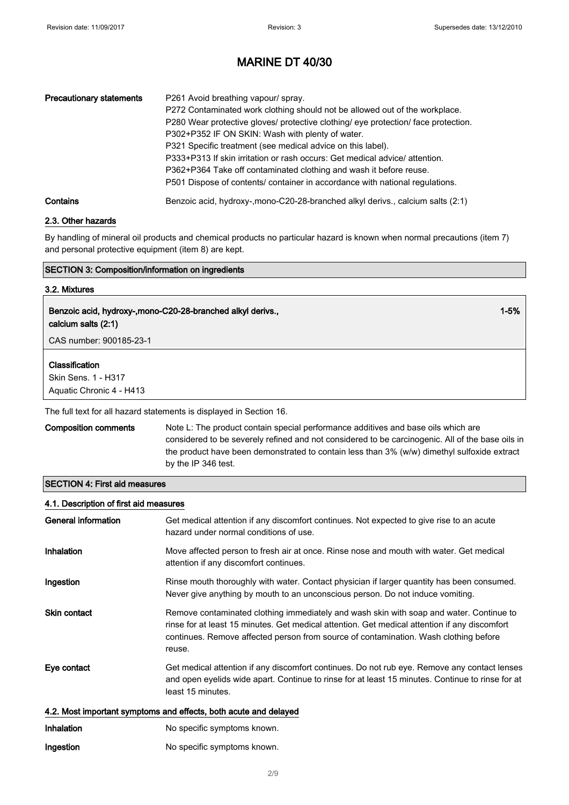1-5%

## MARINE DT 40/30

| <b>Precautionary statements</b> | P261 Avoid breathing vapour/ spray.<br>P272 Contaminated work clothing should not be allowed out of the workplace.<br>P280 Wear protective gloves/ protective clothing/ eye protection/ face protection.<br>P302+P352 IF ON SKIN: Wash with plenty of water.<br>P321 Specific treatment (see medical advice on this label).<br>P333+P313 If skin irritation or rash occurs: Get medical advice/ attention.<br>P362+P364 Take off contaminated clothing and wash it before reuse.<br>P501 Dispose of contents/ container in accordance with national regulations. |
|---------------------------------|------------------------------------------------------------------------------------------------------------------------------------------------------------------------------------------------------------------------------------------------------------------------------------------------------------------------------------------------------------------------------------------------------------------------------------------------------------------------------------------------------------------------------------------------------------------|
| Contains                        | Benzoic acid, hydroxy-, mono-C20-28-branched alkyl derivs., calcium salts (2:1)                                                                                                                                                                                                                                                                                                                                                                                                                                                                                  |

### 2.3. Other hazards

By handling of mineral oil products and chemical products no particular hazard is known when normal precautions (item 7) and personal protective equipment (item 8) are kept.

### SECTION 3: Composition/information on ingredients

### 3.2. Mixtures

# Benzoic acid, hydroxy-,mono-C20-28-branched alkyl derivs.,

calcium salts (2:1)

CAS number: 900185-23-1

### Classification

Skin Sens. 1 - H317 Aquatic Chronic 4 - H413

The full text for all hazard statements is displayed in Section 16.

Composition comments Note L: The product contain special performance additives and base oils which are considered to be severely refined and not considered to be carcinogenic. All of the base oils in the product have been demonstrated to contain less than 3% (w/w) dimethyl sulfoxide extract by the IP 346 test.

### SECTION 4: First aid measures

| 4.1. Description of first aid measures |                                                                                                                                                                                                                                                                                            |
|----------------------------------------|--------------------------------------------------------------------------------------------------------------------------------------------------------------------------------------------------------------------------------------------------------------------------------------------|
| General information                    | Get medical attention if any discomfort continues. Not expected to give rise to an acute<br>hazard under normal conditions of use.                                                                                                                                                         |
| Inhalation                             | Move affected person to fresh air at once. Rinse nose and mouth with water. Get medical<br>attention if any discomfort continues.                                                                                                                                                          |
| Ingestion                              | Rinse mouth thoroughly with water. Contact physician if larger quantity has been consumed.<br>Never give anything by mouth to an unconscious person. Do not induce vomiting.                                                                                                               |
| Skin contact                           | Remove contaminated clothing immediately and wash skin with soap and water. Continue to<br>rinse for at least 15 minutes. Get medical attention. Get medical attention if any discomfort<br>continues. Remove affected person from source of contamination. Wash clothing before<br>reuse. |
| Eye contact                            | Get medical attention if any discomfort continues. Do not rub eye. Remove any contact lenses<br>and open eyelids wide apart. Continue to rinse for at least 15 minutes. Continue to rinse for at<br>least 15 minutes.                                                                      |
|                                        | 4.2. Most important symptoms and effects, both acute and delayed                                                                                                                                                                                                                           |
| Inhalation                             | No specific symptoms known.                                                                                                                                                                                                                                                                |
| Ingestion                              | No specific symptoms known.                                                                                                                                                                                                                                                                |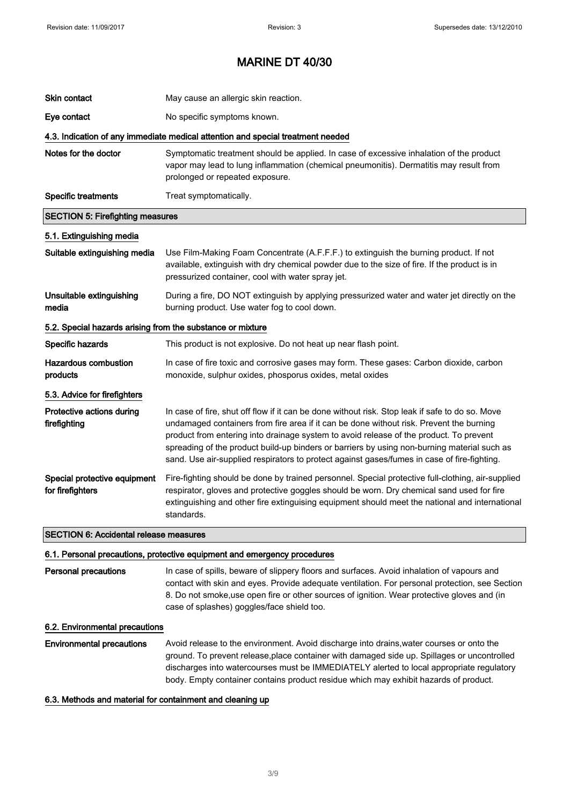| Skin contact                                                                                      | May cause an allergic skin reaction.                                                                                                                                                                                                                                                                                                                                                                                                                                               |
|---------------------------------------------------------------------------------------------------|------------------------------------------------------------------------------------------------------------------------------------------------------------------------------------------------------------------------------------------------------------------------------------------------------------------------------------------------------------------------------------------------------------------------------------------------------------------------------------|
| Eye contact                                                                                       | No specific symptoms known.                                                                                                                                                                                                                                                                                                                                                                                                                                                        |
|                                                                                                   | 4.3. Indication of any immediate medical attention and special treatment needed                                                                                                                                                                                                                                                                                                                                                                                                    |
| Notes for the doctor                                                                              | Symptomatic treatment should be applied. In case of excessive inhalation of the product<br>vapor may lead to lung inflammation (chemical pneumonitis). Dermatitis may result from<br>prolonged or repeated exposure.                                                                                                                                                                                                                                                               |
| <b>Specific treatments</b>                                                                        | Treat symptomatically.                                                                                                                                                                                                                                                                                                                                                                                                                                                             |
| <b>SECTION 5: Firefighting measures</b>                                                           |                                                                                                                                                                                                                                                                                                                                                                                                                                                                                    |
| 5.1. Extinguishing media                                                                          |                                                                                                                                                                                                                                                                                                                                                                                                                                                                                    |
| Suitable extinguishing media                                                                      | Use Film-Making Foam Concentrate (A.F.F.F.) to extinguish the burning product. If not<br>available, extinguish with dry chemical powder due to the size of fire. If the product is in<br>pressurized container, cool with water spray jet.                                                                                                                                                                                                                                         |
| Unsuitable extinguishing<br>media                                                                 | During a fire, DO NOT extinguish by applying pressurized water and water jet directly on the<br>burning product. Use water fog to cool down.                                                                                                                                                                                                                                                                                                                                       |
| 5.2. Special hazards arising from the substance or mixture                                        |                                                                                                                                                                                                                                                                                                                                                                                                                                                                                    |
| Specific hazards                                                                                  | This product is not explosive. Do not heat up near flash point.                                                                                                                                                                                                                                                                                                                                                                                                                    |
| <b>Hazardous combustion</b><br>products                                                           | In case of fire toxic and corrosive gases may form. These gases: Carbon dioxide, carbon<br>monoxide, sulphur oxides, phosporus oxides, metal oxides                                                                                                                                                                                                                                                                                                                                |
| 5.3. Advice for firefighters                                                                      |                                                                                                                                                                                                                                                                                                                                                                                                                                                                                    |
| Protective actions during<br>firefighting                                                         | In case of fire, shut off flow if it can be done without risk. Stop leak if safe to do so. Move<br>undamaged containers from fire area if it can be done without risk. Prevent the burning<br>product from entering into drainage system to avoid release of the product. To prevent<br>spreading of the product build-up binders or barriers by using non-burning material such as<br>sand. Use air-supplied respirators to protect against gases/fumes in case of fire-fighting. |
| Special protective equipment<br>for firefighters<br><b>SECTION 6: Accidental release measures</b> | Fire-fighting should be done by trained personnel. Special protective full-clothing, air-supplied<br>respirator, gloves and protective goggles should be worn. Dry chemical sand used for fire<br>extinguishing and other fire extinguising equipment should meet the national and international<br>standards.                                                                                                                                                                     |

#### 6.1. Personal precautions, protective equipment and emergency procedures

Personal precautions In case of spills, beware of slippery floors and surfaces. Avoid inhalation of vapours and contact with skin and eyes. Provide adequate ventilation. For personal protection, see Section 8. Do not smoke,use open fire or other sources of ignition. Wear protective gloves and (in case of splashes) goggles/face shield too.

### 6.2. Environmental precautions

Environmental precautions Avoid release to the environment. Avoid discharge into drains,water courses or onto the ground. To prevent release,place container with damaged side up. Spillages or uncontrolled discharges into watercourses must be IMMEDIATELY alerted to local appropriate regulatory body. Empty container contains product residue which may exhibit hazards of product.

### 6.3. Methods and material for containment and cleaning up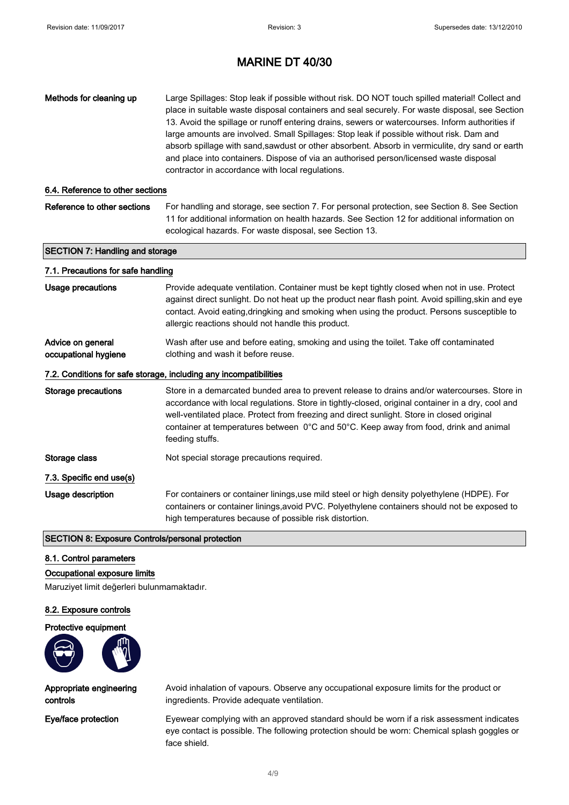| Methods for cleaning up                                 | Large Spillages: Stop leak if possible without risk. DO NOT touch spilled material! Collect and<br>place in suitable waste disposal containers and seal securely. For waste disposal, see Section<br>13. Avoid the spillage or runoff entering drains, sewers or watercourses. Inform authorities if<br>large amounts are involved. Small Spillages: Stop leak if possible without risk. Dam and<br>absorb spillage with sand, sawdust or other absorbent. Absorb in vermiculite, dry sand or earth<br>and place into containers. Dispose of via an authorised person/licensed waste disposal<br>contractor in accordance with local regulations. |
|---------------------------------------------------------|---------------------------------------------------------------------------------------------------------------------------------------------------------------------------------------------------------------------------------------------------------------------------------------------------------------------------------------------------------------------------------------------------------------------------------------------------------------------------------------------------------------------------------------------------------------------------------------------------------------------------------------------------|
| 6.4. Reference to other sections                        |                                                                                                                                                                                                                                                                                                                                                                                                                                                                                                                                                                                                                                                   |
| Reference to other sections                             | For handling and storage, see section 7. For personal protection, see Section 8. See Section<br>11 for additional information on health hazards. See Section 12 for additional information on<br>ecological hazards. For waste disposal, see Section 13.                                                                                                                                                                                                                                                                                                                                                                                          |
| <b>SECTION 7: Handling and storage</b>                  |                                                                                                                                                                                                                                                                                                                                                                                                                                                                                                                                                                                                                                                   |
| 7.1. Precautions for safe handling                      |                                                                                                                                                                                                                                                                                                                                                                                                                                                                                                                                                                                                                                                   |
| <b>Usage precautions</b>                                | Provide adequate ventilation. Container must be kept tightly closed when not in use. Protect<br>against direct sunlight. Do not heat up the product near flash point. Avoid spilling, skin and eye<br>contact. Avoid eating, dringking and smoking when using the product. Persons susceptible to<br>allergic reactions should not handle this product.                                                                                                                                                                                                                                                                                           |
| Advice on general<br>occupational hygiene               | Wash after use and before eating, smoking and using the toilet. Take off contaminated<br>clothing and wash it before reuse.                                                                                                                                                                                                                                                                                                                                                                                                                                                                                                                       |
|                                                         | 7.2. Conditions for safe storage, including any incompatibilities                                                                                                                                                                                                                                                                                                                                                                                                                                                                                                                                                                                 |
| <b>Storage precautions</b>                              | Store in a demarcated bunded area to prevent release to drains and/or watercourses. Store in<br>accordance with local regulations. Store in tightly-closed, original container in a dry, cool and<br>well-ventilated place. Protect from freezing and direct sunlight. Store in closed original<br>container at temperatures between 0°C and 50°C. Keep away from food, drink and animal<br>feeding stuffs.                                                                                                                                                                                                                                       |
| Storage class                                           | Not special storage precautions required.                                                                                                                                                                                                                                                                                                                                                                                                                                                                                                                                                                                                         |
| 7.3. Specific end use(s)                                |                                                                                                                                                                                                                                                                                                                                                                                                                                                                                                                                                                                                                                                   |
| Usage description                                       | For containers or container linings, use mild steel or high density polyethylene (HDPE). For<br>containers or container linings, avoid PVC. Polyethylene containers should not be exposed to<br>high temperatures because of possible risk distortion.                                                                                                                                                                                                                                                                                                                                                                                            |
| <b>SECTION 8: Exposure Controls/personal protection</b> |                                                                                                                                                                                                                                                                                                                                                                                                                                                                                                                                                                                                                                                   |

### 8.1. Control parameters

### Occupational exposure limits

Maruziyet limit değerleri bulunmamaktadır.

### 8.2. Exposure controls

### Protective equipment



Appropriate engineering controls

Avoid inhalation of vapours. Observe any occupational exposure limits for the product or ingredients. Provide adequate ventilation.

Eye/face protection Eyewear complying with an approved standard should be worn if a risk assessment indicates eye contact is possible. The following protection should be worn: Chemical splash goggles or face shield.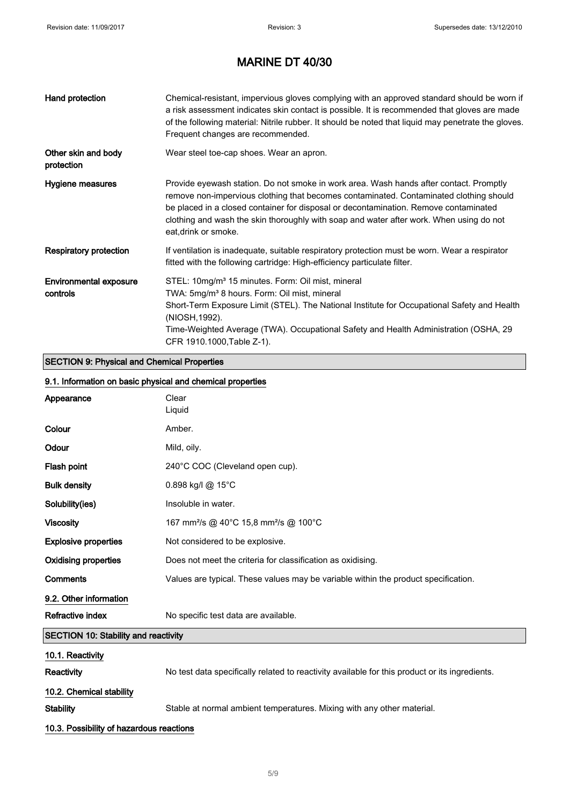| Hand protection                           | Chemical-resistant, impervious gloves complying with an approved standard should be worn if<br>a risk assessment indicates skin contact is possible. It is recommended that gloves are made<br>of the following material: Nitrile rubber. It should be noted that liquid may penetrate the gloves.<br>Frequent changes are recommended.                                                     |
|-------------------------------------------|---------------------------------------------------------------------------------------------------------------------------------------------------------------------------------------------------------------------------------------------------------------------------------------------------------------------------------------------------------------------------------------------|
| Other skin and body<br>protection         | Wear steel toe-cap shoes. Wear an apron.                                                                                                                                                                                                                                                                                                                                                    |
| Hygiene measures                          | Provide eyewash station. Do not smoke in work area. Wash hands after contact. Promptly<br>remove non-impervious clothing that becomes contaminated. Contaminated clothing should<br>be placed in a closed container for disposal or decontamination. Remove contaminated<br>clothing and wash the skin thoroughly with soap and water after work. When using do not<br>eat, drink or smoke. |
| <b>Respiratory protection</b>             | If ventilation is inadequate, suitable respiratory protection must be worn. Wear a respirator<br>fitted with the following cartridge: High-efficiency particulate filter.                                                                                                                                                                                                                   |
| <b>Environmental exposure</b><br>controls | STEL: 10mg/m <sup>3</sup> 15 minutes. Form: Oil mist, mineral<br>TWA: 5mg/m <sup>3</sup> 8 hours. Form: Oil mist, mineral<br>Short-Term Exposure Limit (STEL). The National Institute for Occupational Safety and Health<br>(NIOSH, 1992).<br>Time-Weighted Average (TWA). Occupational Safety and Health Administration (OSHA, 29<br>CFR 1910.1000, Table Z-1).                            |

### SECTION 9: Physical and Chemical Properties

|                                          | 9.1. Information on basic physical and chemical properties                                     |
|------------------------------------------|------------------------------------------------------------------------------------------------|
| Appearance                               | Clear<br>Liquid                                                                                |
| Colour                                   | Amber.                                                                                         |
| Odour                                    | Mild, oily.                                                                                    |
| Flash point                              | 240°C COC (Cleveland open cup).                                                                |
| <b>Bulk density</b>                      | 0.898 kg/l @ 15°C                                                                              |
| Solubility(ies)                          | Insoluble in water.                                                                            |
| <b>Viscosity</b>                         | 167 mm <sup>2</sup> /s @ 40°C 15,8 mm <sup>2</sup> /s @ 100°C                                  |
| <b>Explosive properties</b>              | Not considered to be explosive.                                                                |
| <b>Oxidising properties</b>              | Does not meet the criteria for classification as oxidising.                                    |
| Comments                                 | Values are typical. These values may be variable within the product specification.             |
| 9.2. Other information                   |                                                                                                |
| Refractive index                         | No specific test data are available.                                                           |
| SECTION 10: Stability and reactivity     |                                                                                                |
| 10.1. Reactivity                         |                                                                                                |
| <b>Reactivity</b>                        | No test data specifically related to reactivity available for this product or its ingredients. |
| 10.2. Chemical stability                 |                                                                                                |
| <b>Stability</b>                         | Stable at normal ambient temperatures. Mixing with any other material.                         |
| 10.3. Possibility of hazardous reactions |                                                                                                |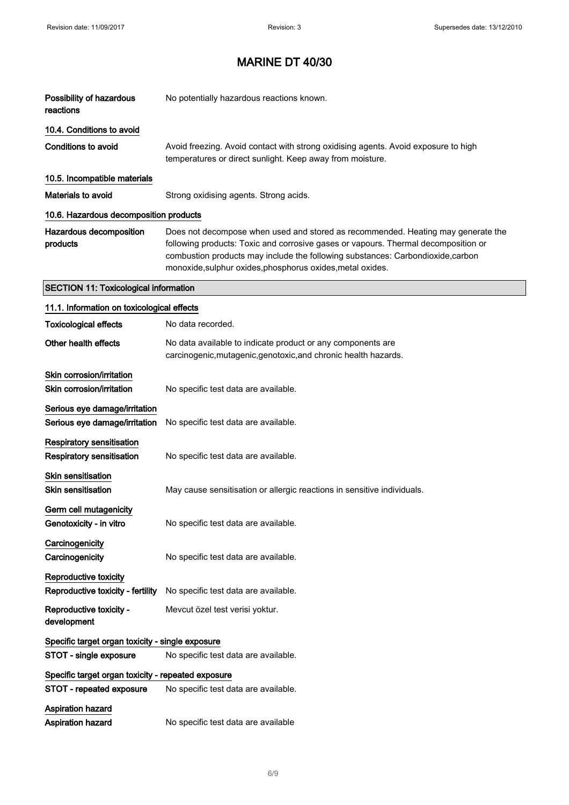$\hat{\mathcal{A}}$ 

# MARINE DT 40/30

| Possibility of hazardous<br>reactions                          | No potentially hazardous reactions known.                                                                                                                                                                                                                                                                              |
|----------------------------------------------------------------|------------------------------------------------------------------------------------------------------------------------------------------------------------------------------------------------------------------------------------------------------------------------------------------------------------------------|
| 10.4. Conditions to avoid                                      |                                                                                                                                                                                                                                                                                                                        |
| <b>Conditions to avoid</b>                                     | Avoid freezing. Avoid contact with strong oxidising agents. Avoid exposure to high<br>temperatures or direct sunlight. Keep away from moisture.                                                                                                                                                                        |
| 10.5. Incompatible materials                                   |                                                                                                                                                                                                                                                                                                                        |
| Materials to avoid                                             | Strong oxidising agents. Strong acids.                                                                                                                                                                                                                                                                                 |
| 10.6. Hazardous decomposition products                         |                                                                                                                                                                                                                                                                                                                        |
| Hazardous decomposition<br>products                            | Does not decompose when used and stored as recommended. Heating may generate the<br>following products: Toxic and corrosive gases or vapours. Thermal decomposition or<br>combustion products may include the following substances: Carbondioxide,carbon<br>monoxide, sulphur oxides, phosphorus oxides, metal oxides. |
| <b>SECTION 11: Toxicological information</b>                   |                                                                                                                                                                                                                                                                                                                        |
| 11.1. Information on toxicological effects                     |                                                                                                                                                                                                                                                                                                                        |
| <b>Toxicological effects</b>                                   | No data recorded.                                                                                                                                                                                                                                                                                                      |
| Other health effects                                           | No data available to indicate product or any components are<br>carcinogenic, mutagenic, genotoxic, and chronic health hazards.                                                                                                                                                                                         |
| Skin corrosion/irritation<br>Skin corrosion/irritation         | No specific test data are available.                                                                                                                                                                                                                                                                                   |
| Serious eye damage/irritation<br>Serious eye damage/irritation | No specific test data are available.                                                                                                                                                                                                                                                                                   |
| <b>Respiratory sensitisation</b><br>Respiratory sensitisation  | No specific test data are available.                                                                                                                                                                                                                                                                                   |
| <b>Skin sensitisation</b><br><b>Skin sensitisation</b>         | May cause sensitisation or allergic reactions in sensitive individuals.                                                                                                                                                                                                                                                |
| Germ cell mutagenicity<br>Genotoxicity - in vitro              | No specific test data are available.                                                                                                                                                                                                                                                                                   |
| Carcinogenicity<br>Carcinogenicity                             | No specific test data are available.                                                                                                                                                                                                                                                                                   |
| Reproductive toxicity<br>Reproductive toxicity - fertility     | No specific test data are available.                                                                                                                                                                                                                                                                                   |
| Reproductive toxicity -<br>development                         | Mevcut özel test verisi yoktur.                                                                                                                                                                                                                                                                                        |
| Specific target organ toxicity - single exposure               |                                                                                                                                                                                                                                                                                                                        |
| STOT - single exposure                                         | No specific test data are available.                                                                                                                                                                                                                                                                                   |
| Specific target organ toxicity - repeated exposure             |                                                                                                                                                                                                                                                                                                                        |
| STOT - repeated exposure                                       | No specific test data are available.                                                                                                                                                                                                                                                                                   |
| Aspiration hazard<br>Aspiration hazard                         | No specific test data are available                                                                                                                                                                                                                                                                                    |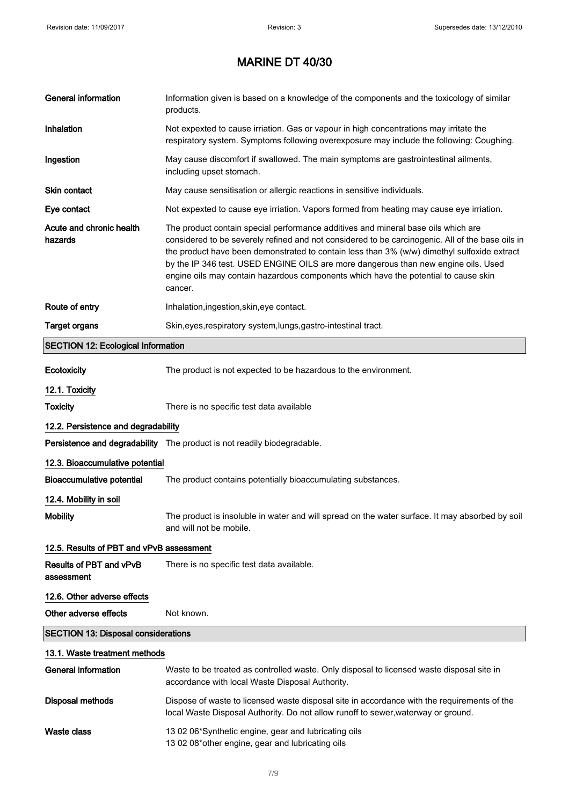| <b>General information</b>                 | Information given is based on a knowledge of the components and the toxicology of similar<br>products.                                                                                                                                                                                                                                                                                                                                                                       |
|--------------------------------------------|------------------------------------------------------------------------------------------------------------------------------------------------------------------------------------------------------------------------------------------------------------------------------------------------------------------------------------------------------------------------------------------------------------------------------------------------------------------------------|
| Inhalation                                 | Not expexted to cause irriation. Gas or vapour in high concentrations may irritate the<br>respiratory system. Symptoms following overexposure may include the following: Coughing.                                                                                                                                                                                                                                                                                           |
| Ingestion                                  | May cause discomfort if swallowed. The main symptoms are gastrointestinal ailments,<br>including upset stomach.                                                                                                                                                                                                                                                                                                                                                              |
| Skin contact                               | May cause sensitisation or allergic reactions in sensitive individuals.                                                                                                                                                                                                                                                                                                                                                                                                      |
| Eye contact                                | Not expexted to cause eye irriation. Vapors formed from heating may cause eye irriation.                                                                                                                                                                                                                                                                                                                                                                                     |
| Acute and chronic health<br>hazards        | The product contain special performance additives and mineral base oils which are<br>considered to be severely refined and not considered to be carcinogenic. All of the base oils in<br>the product have been demonstrated to contain less than 3% (w/w) dimethyl sulfoxide extract<br>by the IP 346 test. USED ENGINE OILS are more dangerous than new engine oils. Used<br>engine oils may contain hazardous components which have the potential to cause skin<br>cancer. |
| Route of entry                             | Inhalation, ingestion, skin, eye contact.                                                                                                                                                                                                                                                                                                                                                                                                                                    |
| <b>Target organs</b>                       | Skin, eyes, respiratory system, lungs, gastro-intestinal tract.                                                                                                                                                                                                                                                                                                                                                                                                              |
| <b>SECTION 12: Ecological Information</b>  |                                                                                                                                                                                                                                                                                                                                                                                                                                                                              |
| Ecotoxicity                                | The product is not expected to be hazardous to the environment.                                                                                                                                                                                                                                                                                                                                                                                                              |
| 12.1. Toxicity                             |                                                                                                                                                                                                                                                                                                                                                                                                                                                                              |
| <b>Toxicity</b>                            | There is no specific test data available                                                                                                                                                                                                                                                                                                                                                                                                                                     |
| 12.2. Persistence and degradability        |                                                                                                                                                                                                                                                                                                                                                                                                                                                                              |
|                                            | Persistence and degradability The product is not readily biodegradable.                                                                                                                                                                                                                                                                                                                                                                                                      |
| 12.3. Bioaccumulative potential            |                                                                                                                                                                                                                                                                                                                                                                                                                                                                              |
| Bioaccumulative potential                  | The product contains potentially bioaccumulating substances.                                                                                                                                                                                                                                                                                                                                                                                                                 |
| 12.4. Mobility in soil                     |                                                                                                                                                                                                                                                                                                                                                                                                                                                                              |
| <b>Mobility</b>                            | The product is insoluble in water and will spread on the water surface. It may absorbed by soil<br>and will not be mobile.                                                                                                                                                                                                                                                                                                                                                   |
| 12.5. Results of PBT and vPvB assessment   |                                                                                                                                                                                                                                                                                                                                                                                                                                                                              |
| Results of PBT and vPvB<br>assessment      | There is no specific test data available.                                                                                                                                                                                                                                                                                                                                                                                                                                    |
| 12.6. Other adverse effects                |                                                                                                                                                                                                                                                                                                                                                                                                                                                                              |
| Other adverse effects                      | Not known.                                                                                                                                                                                                                                                                                                                                                                                                                                                                   |
| <b>SECTION 13: Disposal considerations</b> |                                                                                                                                                                                                                                                                                                                                                                                                                                                                              |
| 13.1. Waste treatment methods              |                                                                                                                                                                                                                                                                                                                                                                                                                                                                              |
| <b>General information</b>                 | Waste to be treated as controlled waste. Only disposal to licensed waste disposal site in<br>accordance with local Waste Disposal Authority.                                                                                                                                                                                                                                                                                                                                 |
| <b>Disposal methods</b>                    | Dispose of waste to licensed waste disposal site in accordance with the requirements of the<br>local Waste Disposal Authority. Do not allow runoff to sewer, waterway or ground.                                                                                                                                                                                                                                                                                             |
| <b>Waste class</b>                         | 13 02 06*Synthetic engine, gear and lubricating oils<br>13 02 08*other engine, gear and lubricating oils                                                                                                                                                                                                                                                                                                                                                                     |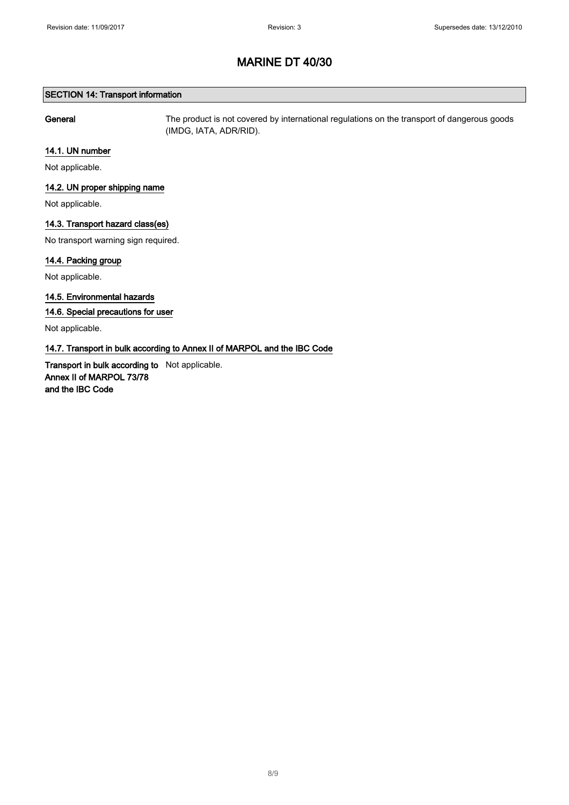### SECTION 14: Transport information

General The product is not covered by international regulations on the transport of dangerous goods (IMDG, IATA, ADR/RID).

### 14.1. UN number

Not applicable.

### 14.2. UN proper shipping name

Not applicable.

### 14.3. Transport hazard class(es)

No transport warning sign required.

### 14.4. Packing group

Not applicable.

### 14.5. Environmental hazards

### 14.6. Special precautions for user

Not applicable.

### 14.7. Transport in bulk according to Annex II of MARPOL and the IBC Code

Transport in bulk according to Not applicable. Annex II of MARPOL 73/78 and the IBC Code